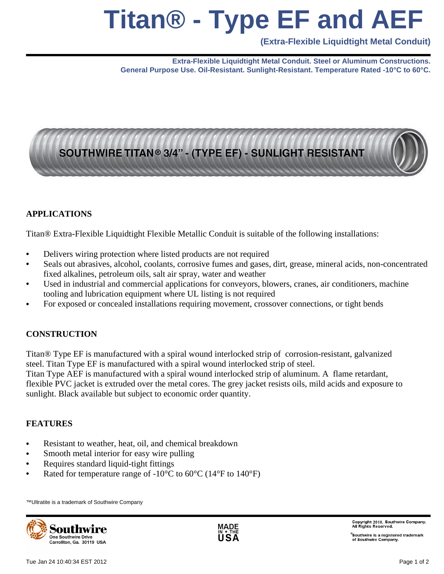# **Titan® - Type EF and AEF**

**(Extra-Flexible Liquidtight Metal Conduit)**

**Extra-Flexible Liquidtight Metal Conduit. Steel or Aluminum Constructions. General Purpose Use. Oil-Resistant. Sunlight-Resistant. Temperature Rated -10°C to 60°C.**

## SOUTHWIRE TITAN® 3/4" - (TYPE EF) - SUNLIGHT RESISTANT

#### **APPLICATIONS**

Titan® Extra-Flexible Liquidtight Flexible Metallic Conduit is suitable of the following installations:

- Delivers wiring protection where listed products are not required
- Seals out abrasives, alcohol, coolants, corrosive fumes and gases, dirt, grease, mineral acids, non-concentrated fixed alkalines, petroleum oils, salt air spray, water and weather
- Used in industrial and commercial applications for conveyors, blowers, cranes, air conditioners, machine tooling and lubrication equipment where UL listing is not required
- For exposed or concealed installations requiring movement, crossover connections, or tight bends

#### **CONSTRUCTION**

Titan® Type EF is manufactured with a spiral wound interlocked strip of corrosion-resistant, galvanized steel. Titan Type EF is manufactured with a spiral wound interlocked strip of steel.

Titan Type AEF is manufactured with a spiral wound interlocked strip of aluminum. A flame retardant, flexible PVC jacket is extruded over the metal cores. The grey jacket resists oils, mild acids and exposure to sunlight. Black available but subject to economic order quantity.

#### **FEATURES**

- Resistant to weather, heat, oil, and chemical breakdown
- Smooth metal interior for easy wire pulling
- Requires standard liquid-tight fittings
- Rated for temperature range of -10°C to 60°C (14°F to 140°F)

™Ultratite is a trademark of Southwire Company





Copyright 2010, Southwire Company.<br>All Rights Reserved.

 $^\circ$ Southwire is a registered trademark of Southwire Company.